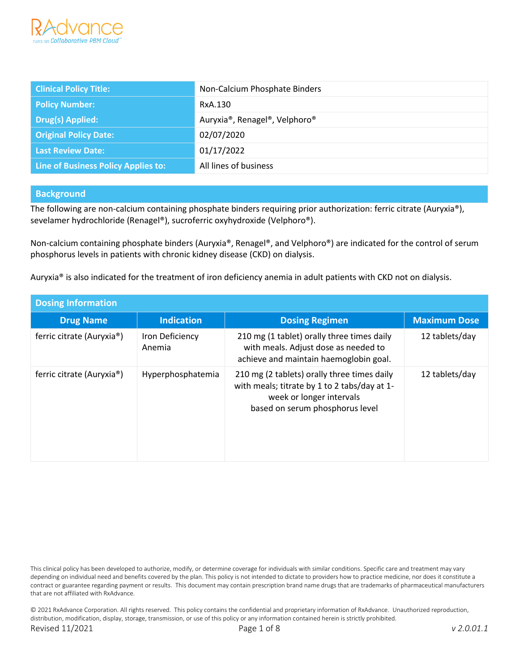

| <b>Clinical Policy Title:</b>       | Non-Calcium Phosphate Binders |
|-------------------------------------|-------------------------------|
| <b>Policy Number:</b>               | RxA.130                       |
| <b>Drug(s) Applied:</b>             | Auryxia®, Renagel®, Velphoro® |
| <b>Original Policy Date:</b>        | 02/07/2020                    |
| Last Review Date:                   | 01/17/2022                    |
| Line of Business Policy Applies to: | All lines of business         |

#### **Background**

The following are non-calcium containing phosphate binders requiring prior authorization: ferric citrate (Auryxia®), sevelamer hydrochloride (Renagel®), sucroferric oxyhydroxide (Velphoro®).

Non-calcium containing phosphate binders (Auryxia®, Renagel®, and Velphoro®) are indicated for the control of serum phosphorus levels in patients with chronic kidney disease (CKD) on dialysis.

Auryxia® is also indicated for the treatment of iron deficiency anemia in adult patients with CKD not on dialysis.

| <b>Dosing Information</b> |                           |                                                                                                                                                            |                     |
|---------------------------|---------------------------|------------------------------------------------------------------------------------------------------------------------------------------------------------|---------------------|
| <b>Drug Name</b>          | <b>Indication</b>         | <b>Dosing Regimen</b>                                                                                                                                      | <b>Maximum Dose</b> |
| ferric citrate (Auryxia®) | Iron Deficiency<br>Anemia | 210 mg (1 tablet) orally three times daily<br>with meals. Adjust dose as needed to<br>achieve and maintain haemoglobin goal.                               | 12 tablets/day      |
| ferric citrate (Auryxia®) | Hyperphosphatemia         | 210 mg (2 tablets) orally three times daily<br>with meals; titrate by 1 to 2 tabs/day at 1-<br>week or longer intervals<br>based on serum phosphorus level | 12 tablets/day      |

© 2021 RxAdvance Corporation. All rights reserved. This policy contains the confidential and proprietary information of RxAdvance. Unauthorized reproduction, distribution, modification, display, storage, transmission, or use of this policy or any information contained herein is strictly prohibited. Revised 11/2021 Page 1 of 8 *v 2.0.01.1*

This clinical policy has been developed to authorize, modify, or determine coverage for individuals with similar conditions. Specific care and treatment may vary depending on individual need and benefits covered by the plan. This policy is not intended to dictate to providers how to practice medicine, nor does it constitute a contract or guarantee regarding payment or results. This document may contain prescription brand name drugs that are trademarks of pharmaceutical manufacturers that are not affiliated with RxAdvance.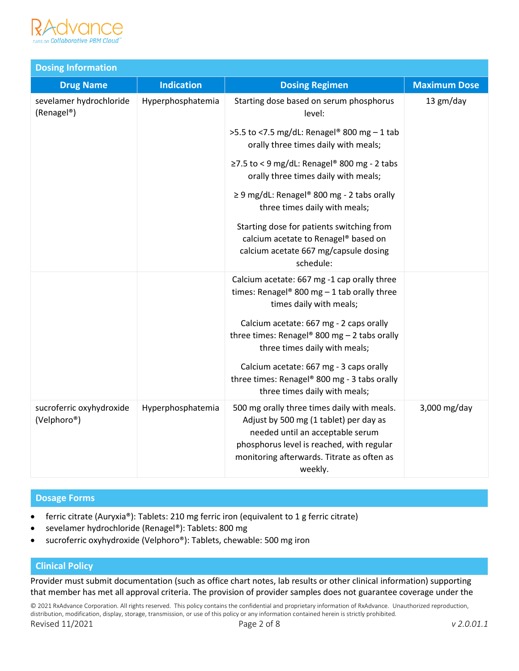

| <b>Dosing Information</b>                          |                   |                                                                                                                                                                                                                                 |                     |
|----------------------------------------------------|-------------------|---------------------------------------------------------------------------------------------------------------------------------------------------------------------------------------------------------------------------------|---------------------|
| <b>Drug Name</b>                                   | <b>Indication</b> | <b>Dosing Regimen</b>                                                                                                                                                                                                           | <b>Maximum Dose</b> |
| sevelamer hydrochloride<br>(Renagel <sup>®</sup> ) | Hyperphosphatemia | Starting dose based on serum phosphorus<br>level:                                                                                                                                                                               | 13 gm/day           |
|                                                    |                   | >5.5 to <7.5 mg/dL: Renagel® 800 mg - 1 tab<br>orally three times daily with meals;                                                                                                                                             |                     |
|                                                    |                   | $\ge$ 7.5 to < 9 mg/dL: Renagel® 800 mg - 2 tabs<br>orally three times daily with meals;                                                                                                                                        |                     |
|                                                    |                   | $\geq$ 9 mg/dL: Renagel® 800 mg - 2 tabs orally<br>three times daily with meals;                                                                                                                                                |                     |
|                                                    |                   | Starting dose for patients switching from<br>calcium acetate to Renagel® based on<br>calcium acetate 667 mg/capsule dosing<br>schedule:                                                                                         |                     |
|                                                    |                   | Calcium acetate: 667 mg -1 cap orally three<br>times: Renagel® 800 mg $-$ 1 tab orally three<br>times daily with meals;                                                                                                         |                     |
|                                                    |                   | Calcium acetate: 667 mg - 2 caps orally<br>three times: Renagel® 800 mg $-$ 2 tabs orally<br>three times daily with meals;                                                                                                      |                     |
|                                                    |                   | Calcium acetate: 667 mg - 3 caps orally<br>three times: Renagel® 800 mg - 3 tabs orally<br>three times daily with meals;                                                                                                        |                     |
| sucroferric oxyhydroxide<br>(Velphoro®)            | Hyperphosphatemia | 500 mg orally three times daily with meals.<br>Adjust by 500 mg (1 tablet) per day as<br>needed until an acceptable serum<br>phosphorus level is reached, with regular<br>monitoring afterwards. Titrate as often as<br>weekly. | 3,000 mg/day        |

### **Dosage Forms**

- ferric citrate (Auryxia®): Tablets: 210 mg ferric iron (equivalent to 1 g ferric citrate)
- sevelamer hydrochloride (Renagel®): Tablets: 800 mg
- sucroferric oxyhydroxide (Velphoro®): Tablets, chewable: 500 mg iron

## **Clinical Policy**

Provider must submit documentation (such as office chart notes, lab results or other clinical information) supporting that member has met all approval criteria. The provision of provider samples does not guarantee coverage under the

© 2021 RxAdvance Corporation. All rights reserved. This policy contains the confidential and proprietary information of RxAdvance. Unauthorized reproduction, distribution, modification, display, storage, transmission, or use of this policy or any information contained herein is strictly prohibited. Revised 11/2021 Page 2 of 8 *v 2.0.01.1*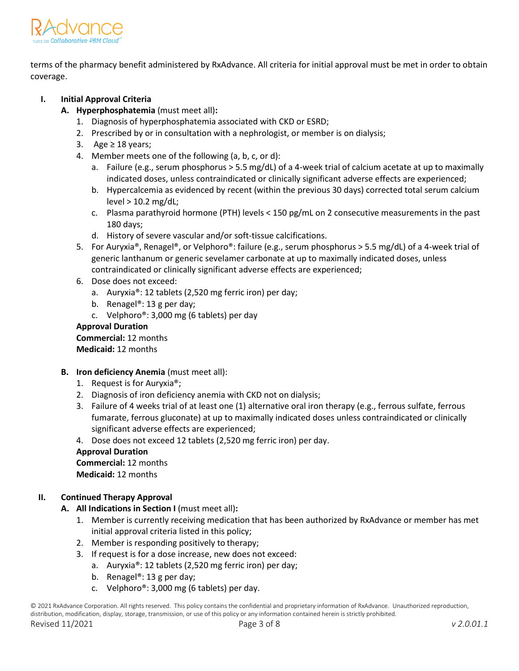

terms of the pharmacy benefit administered by RxAdvance. All criteria for initial approval must be met in order to obtain coverage.

# **I. Initial Approval Criteria**

- **A. Hyperphosphatemia** (must meet all)**:**
	- 1. Diagnosis of hyperphosphatemia associated with CKD or ESRD;
	- 2. Prescribed by or in consultation with a nephrologist, or member is on dialysis;
	- 3. Age ≥ 18 years;
	- 4. Member meets one of the following (a, b, c, or d):
		- a. Failure (e.g., serum phosphorus > 5.5 mg/dL) of a 4-week trial of calcium acetate at up to maximally indicated doses, unless contraindicated or clinically significant adverse effects are experienced;
		- b. Hypercalcemia as evidenced by recent (within the previous 30 days) corrected total serum calcium level > 10.2 mg/dL;
		- c. Plasma parathyroid hormone (PTH) levels < 150 pg/mL on 2 consecutive measurements in the past 180 days;
		- d. History of severe vascular and/or soft-tissue calcifications.
	- 5. For Auryxia®, Renagel®, or Velphoro®: failure (e.g., serum phosphorus > 5.5 mg/dL) of a 4-week trial of generic lanthanum or generic sevelamer carbonate at up to maximally indicated doses, unless contraindicated or clinically significant adverse effects are experienced;
	- 6. Dose does not exceed:
		- a. Auryxia®: 12 tablets (2,520 mg ferric iron) per day;
		- b. Renagel<sup>®</sup>: 13 g per day;
		- c. Velphoro®: 3,000 mg (6 tablets) per day

### **Approval Duration**

**Commercial:** 12 months **Medicaid:** 12 months

- **B. Iron deficiency Anemia** (must meet all):
	- 1. Request is for Auryxia®;
	- 2. Diagnosis of iron deficiency anemia with CKD not on dialysis;
	- 3. Failure of 4 weeks trial of at least one (1) alternative oral iron therapy (e.g., ferrous sulfate, ferrous fumarate, ferrous gluconate) at up to maximally indicated doses unless contraindicated or clinically significant adverse effects are experienced;
	- 4. Dose does not exceed 12 tablets (2,520 mg ferric iron) per day.

### **Approval Duration**

#### **Commercial:** 12 months **Medicaid:** 12 months

# **II. Continued Therapy Approval**

- **A. All Indications in Section I** (must meet all)**:**
	- 1. Member is currently receiving medication that has been authorized by RxAdvance or member has met initial approval criteria listed in this policy;
	- 2. Member is responding positively to therapy;
	- 3. If request is for a dose increase, new does not exceed:
		- a. Auryxia®: 12 tablets (2,520 mg ferric iron) per day;
		- b. Renagel®: 13 g per day;
		- c. Velphoro®: 3,000 mg (6 tablets) per day.

© 2021 RxAdvance Corporation. All rights reserved. This policy contains the confidential and proprietary information of RxAdvance. Unauthorized reproduction, distribution, modification, display, storage, transmission, or use of this policy or any information contained herein is strictly prohibited. Revised 11/2021 Page 3 of 8 *v 2.0.01.1*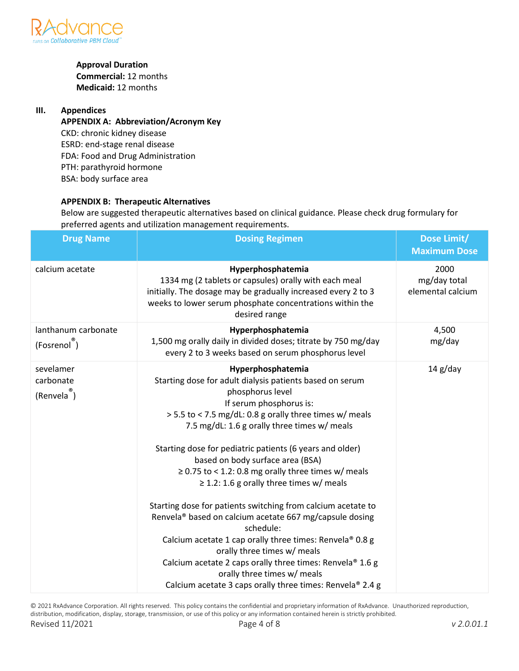

# **Approval Duration**

**Commercial:** 12 months **Medicaid:** 12 months

# **III. Appendices**

**APPENDIX A: Abbreviation/Acronym Key** CKD: chronic kidney disease ESRD: end-stage renal disease FDA: Food and Drug Administration PTH: parathyroid hormone BSA: body surface area

# **APPENDIX B: Therapeutic Alternatives**

Below are suggested therapeutic alternatives based on clinical guidance. Please check drug formulary for preferred agents and utilization management requirements.

| <b>Drug Name</b>                                  | <b>Dosing Regimen</b>                                                                                                                                                                                                                                                                                                                                                                                                                                                                                                                                                                                                                                                                                                                                                                                                                                        | Dose Limit/<br><b>Maximum Dose</b>        |
|---------------------------------------------------|--------------------------------------------------------------------------------------------------------------------------------------------------------------------------------------------------------------------------------------------------------------------------------------------------------------------------------------------------------------------------------------------------------------------------------------------------------------------------------------------------------------------------------------------------------------------------------------------------------------------------------------------------------------------------------------------------------------------------------------------------------------------------------------------------------------------------------------------------------------|-------------------------------------------|
| calcium acetate                                   | Hyperphosphatemia<br>1334 mg (2 tablets or capsules) orally with each meal<br>initially. The dosage may be gradually increased every 2 to 3<br>weeks to lower serum phosphate concentrations within the<br>desired range                                                                                                                                                                                                                                                                                                                                                                                                                                                                                                                                                                                                                                     | 2000<br>mg/day total<br>elemental calcium |
| lanthanum carbonate<br>(Fosrenol)                 | Hyperphosphatemia<br>1,500 mg orally daily in divided doses; titrate by 750 mg/day<br>every 2 to 3 weeks based on serum phosphorus level                                                                                                                                                                                                                                                                                                                                                                                                                                                                                                                                                                                                                                                                                                                     | 4,500<br>mg/day                           |
| sevelamer<br>carbonate<br>(Renvela <sup>®</sup> ) | Hyperphosphatemia<br>Starting dose for adult dialysis patients based on serum<br>phosphorus level<br>If serum phosphorus is:<br>> 5.5 to < 7.5 mg/dL: 0.8 g orally three times w/ meals<br>7.5 mg/dL: 1.6 g orally three times w/ meals<br>Starting dose for pediatric patients (6 years and older)<br>based on body surface area (BSA)<br>$\geq$ 0.75 to < 1.2: 0.8 mg orally three times w/ meals<br>$\geq$ 1.2: 1.6 g orally three times w/ meals<br>Starting dose for patients switching from calcium acetate to<br>Renvela <sup>®</sup> based on calcium acetate 667 mg/capsule dosing<br>schedule:<br>Calcium acetate 1 cap orally three times: Renvela® 0.8 g<br>orally three times w/ meals<br>Calcium acetate 2 caps orally three times: Renvela® 1.6 g<br>orally three times w/ meals<br>Calcium acetate 3 caps orally three times: Renvela® 2.4 g | $14$ g/day                                |

© 2021 RxAdvance Corporation. All rights reserved. This policy contains the confidential and proprietary information of RxAdvance. Unauthorized reproduction, distribution, modification, display, storage, transmission, or use of this policy or any information contained herein is strictly prohibited. Revised 11/2021 Page 4 of 8 *v 2.0.01.1*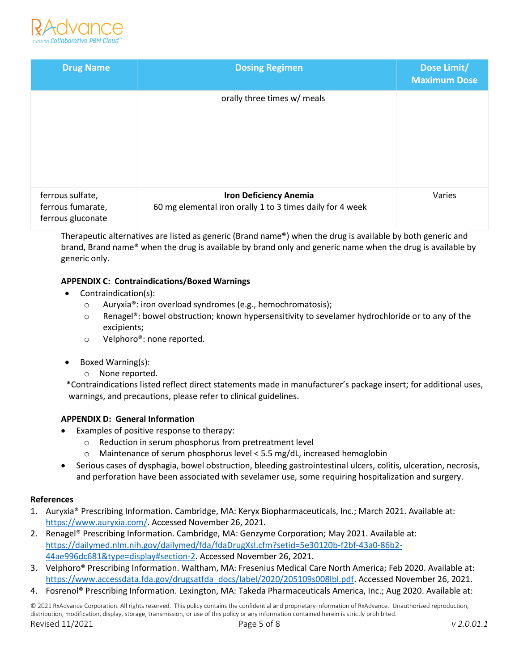

| <b>Drug Name</b>                                           | <b>Dosing Regimen</b>                                                                      | Dose Limit/<br><b>Maximum Dose</b> |
|------------------------------------------------------------|--------------------------------------------------------------------------------------------|------------------------------------|
|                                                            | orally three times w/ meals                                                                |                                    |
| ferrous sulfate,<br>ferrous fumarate,<br>ferrous gluconate | <b>Iron Deficiency Anemia</b><br>60 mg elemental iron orally 1 to 3 times daily for 4 week | Varies                             |

Therapeutic alternatives are listed as generic (Brand name®) when the drug is available by both generic and brand, Brand name® when the drug is available by brand only and generic name when the drug is available by generic only.

# **APPENDIX C: Contraindications/Boxed Warnings**

- Contraindication(s):
	- o Auryxia®: iron overload syndromes (e.g., hemochromatosis);
	- o Renagel®: bowel obstruction; known hypersensitivity to sevelamer hydrochloride or to any of the excipients;
	- o Velphoro®: none reported.
- Boxed Warning(s):
	- o None reported.

 \*Contraindications listed reflect direct statements made in manufacturer's package insert; for additional uses, warnings, and precautions, please refer to clinical guidelines.

### **APPENDIX D: General Information**

- Examples of positive response to therapy:
	- o Reduction in serum phosphorus from pretreatment level
	- $\circ$  Maintenance of serum phosphorus level < 5.5 mg/dL, increased hemoglobin
- Serious cases of dysphagia, bowel obstruction, bleeding gastrointestinal ulcers, colitis, ulceration, necrosis, and perforation have been associated with sevelamer use, some requiring hospitalization and surgery.

### **References**

- 1. Auryxia® Prescribing Information. Cambridge, MA: Keryx Biopharmaceuticals, Inc.; March 2021. Available at: [https://www.auryxia.com/.](https://www.auryxia.com/) Accessed November 26, 2021.
- 2. Renagel® Prescribing Information. Cambridge, MA: Genzyme Corporation; May 2021. Available at: [https://dailymed.nlm.nih.gov/dailymed/fda/fdaDrugXsl.cfm?setid=5e30120b-f2bf-43a0-86b2-](https://dailymed.nlm.nih.gov/dailymed/fda/fdaDrugXsl.cfm?setid=5e30120b-f2bf-43a0-86b2-44ae996dc681&type=display#section-2) [44ae996dc681&type=display#section-2.](https://dailymed.nlm.nih.gov/dailymed/fda/fdaDrugXsl.cfm?setid=5e30120b-f2bf-43a0-86b2-44ae996dc681&type=display#section-2) Accessed November 26, 2021.
- 3. Velphoro® Prescribing Information. Waltham, MA: Fresenius Medical Care North America; Feb 2020. Available at: [https://www.accessdata.fda.gov/drugsatfda\\_docs/label/2020/205109s008lbl.pdf.](https://www.accessdata.fda.gov/drugsatfda_docs/label/2020/205109s008lbl.pdf) Accessed November 26, 2021.
- 4. Fosrenol® Prescribing Information. Lexington, MA: Takeda Pharmaceuticals America, Inc.; Aug 2020. Available at:

© 2021 RxAdvance Corporation. All rights reserved. This policy contains the confidential and proprietary information of RxAdvance. Unauthorized reproduction, distribution, modification, display, storage, transmission, or use of this policy or any information contained herein is strictly prohibited. Revised 11/2021 Page 5 of 8 *v 2.0.01.1*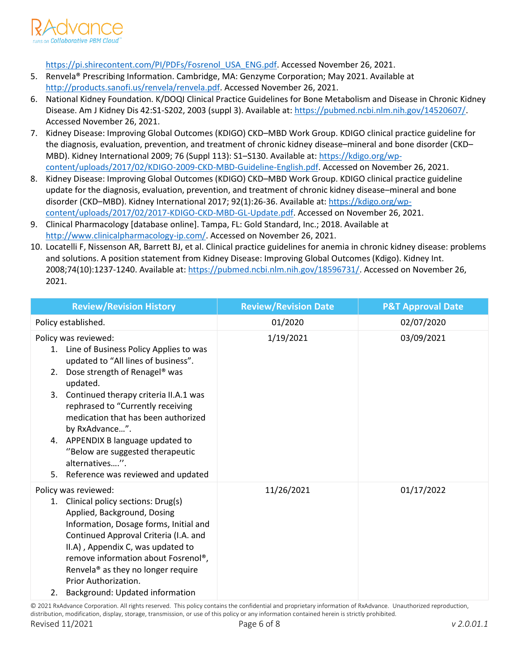

[https://pi.shirecontent.com/PI/PDFs/Fosrenol\\_USA\\_ENG.pdf.](https://pi.shirecontent.com/PI/PDFs/Fosrenol_USA_ENG.pdf) Accessed November 26, 2021.

- 5. Renvela® Prescribing Information. Cambridge, MA: Genzyme Corporation; May 2021. Available at [http://products.sanofi.us/renvela/renvela.pdf.](http://products.sanofi.us/renvela/renvela.pdf) Accessed November 26, 2021.
- 6. National Kidney Foundation. K/DOQI Clinical Practice Guidelines for Bone Metabolism and Disease in Chronic Kidney Disease. Am J Kidney Dis 42:S1-S202, 2003 (suppl 3). Available at[: https://pubmed.ncbi.nlm.nih.gov/14520607/.](https://pubmed.ncbi.nlm.nih.gov/14520607/) Accessed November 26, 2021.
- 7. Kidney Disease: Improving Global Outcomes (KDIGO) CKD–MBD Work Group. KDIGO clinical practice guideline for the diagnosis, evaluation, prevention, and treatment of chronic kidney disease–mineral and bone disorder (CKD– MBD). Kidney International 2009; 76 (Suppl 113): S1–S130. Available at[: https://kdigo.org/wp](https://kdigo.org/wp-content/uploads/2017/02/KDIGO-2009-CKD-MBD-Guideline-English.pdf)[content/uploads/2017/02/KDIGO-2009-CKD-MBD-Guideline-English.pdf.](https://kdigo.org/wp-content/uploads/2017/02/KDIGO-2009-CKD-MBD-Guideline-English.pdf) Accessed on November 26, 2021.
- 8. Kidney Disease: Improving Global Outcomes (KDIGO) CKD–MBD Work Group. KDIGO clinical practice guideline update for the diagnosis, evaluation, prevention, and treatment of chronic kidney disease–mineral and bone disorder (CKD–MBD). Kidney International 2017; 92(1):26-36. Available at[: https://kdigo.org/wp](https://kdigo.org/wp-content/uploads/2017/02/2017-KDIGO-CKD-MBD-GL-Update.pdf)[content/uploads/2017/02/2017-KDIGO-CKD-MBD-GL-Update.pdf.](https://kdigo.org/wp-content/uploads/2017/02/2017-KDIGO-CKD-MBD-GL-Update.pdf) Accessed on November 26, 2021.
- 9. Clinical Pharmacology [database online]. Tampa, FL: Gold Standard, Inc.; 2018. Available at [http://www.clinicalpharmacology-ip.com/.](http://www.clinicalpharmacology-ip.com/) Accessed on November 26, 2021.
- 10. Locatelli F, Nissenson AR, Barrett BJ, et al. Clinical practice guidelines for anemia in chronic kidney disease: problems and solutions. A position statement from Kidney Disease: Improving Global Outcomes (Kdigo). Kidney Int. 2008;74(10):1237-1240. Available at: [https://pubmed.ncbi.nlm.nih.gov/18596731/.](https://pubmed.ncbi.nlm.nih.gov/18596731/) Accessed on November 26, 2021.

| <b>Review/Revision History</b>                                                                                                                                                                                                                                                                                                                                                                                                                           | <b>Review/Revision Date</b> | <b>P&amp;T Approval Date</b> |
|----------------------------------------------------------------------------------------------------------------------------------------------------------------------------------------------------------------------------------------------------------------------------------------------------------------------------------------------------------------------------------------------------------------------------------------------------------|-----------------------------|------------------------------|
| Policy established.                                                                                                                                                                                                                                                                                                                                                                                                                                      | 01/2020                     | 02/07/2020                   |
| Policy was reviewed:<br>1. Line of Business Policy Applies to was<br>updated to "All lines of business".<br>Dose strength of Renagel <sup>®</sup> was<br>2.<br>updated.<br>3. Continued therapy criteria II.A.1 was<br>rephrased to "Currently receiving<br>medication that has been authorized<br>by RxAdvance".<br>4. APPENDIX B language updated to<br>"Below are suggested therapeutic<br>alternatives".<br>Reference was reviewed and updated<br>5. | 1/19/2021                   | 03/09/2021                   |
| Policy was reviewed:<br>1. Clinical policy sections: Drug(s)<br>Applied, Background, Dosing<br>Information, Dosage forms, Initial and<br>Continued Approval Criteria (I.A. and<br>II.A), Appendix C, was updated to<br>remove information about Fosrenol®,<br>Renvela <sup>®</sup> as they no longer require<br>Prior Authorization.<br>Background: Updated information<br>2.                                                                            | 11/26/2021                  | 01/17/2022                   |

© 2021 RxAdvance Corporation. All rights reserved. This policy contains the confidential and proprietary information of RxAdvance. Unauthorized reproduction, distribution, modification, display, storage, transmission, or use of this policy or any information contained herein is strictly prohibited. Revised 11/2021 Page 6 of 8 *v 2.0.01.1*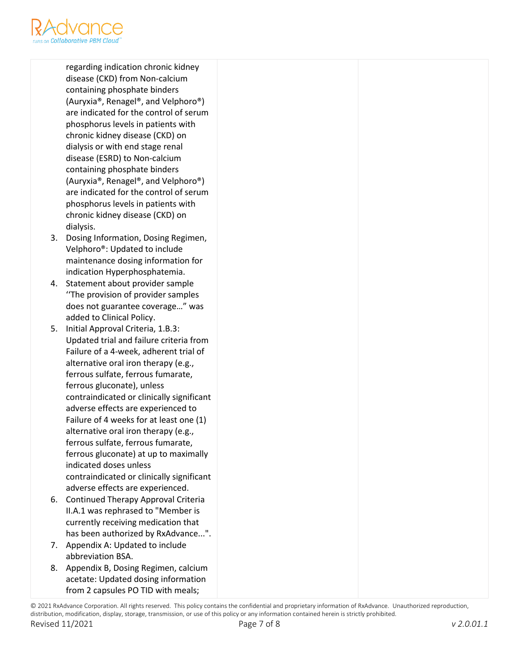

regarding indication chronic kidney disease (CKD) from Non-calcium containing phosphate binders (Auryxia®, Renagel®, and Velphoro®) are indicated for the control of serum phosphorus levels in patients with chronic kidney disease (CKD) on dialysis or with end stage renal disease (ESRD) to Non-calcium containing phosphate binders (Auryxia®, Renagel®, and Velphoro®) are indicated for the control of serum phosphorus levels in patients with chronic kidney disease (CKD) on dialysis.

- 3. Dosing Information, Dosing Regimen, Velphoro®: Updated to include maintenance dosing information for indication Hyperphosphatemia.
- 4. Statement about provider sample ''The provision of provider samples does not guarantee coverage…" was added to Clinical Policy.
- 5. Initial Approval Criteria, 1.B.3: Updated trial and failure criteria from Failure of a 4-week, adherent trial of alternative oral iron therapy (e.g., ferrous sulfate, ferrous fumarate, ferrous gluconate), unless contraindicated or clinically significant adverse effects are experienced to Failure of 4 weeks for at least one (1) alternative oral iron therapy (e.g., ferrous sulfate, ferrous fumarate, ferrous gluconate) at up to maximally indicated doses unless contraindicated or clinically significant adverse effects are experienced.
- 6. Continued Therapy Approval Criteria II.A.1 was rephrased to "Member is currently receiving medication that has been authorized by RxAdvance...".
- 7. Appendix A: Updated to include abbreviation BSA.
- 8. Appendix B, Dosing Regimen, calcium acetate: Updated dosing information from 2 capsules PO TID with meals;

<sup>© 2021</sup> RxAdvance Corporation. All rights reserved. This policy contains the confidential and proprietary information of RxAdvance. Unauthorized reproduction, distribution, modification, display, storage, transmission, or use of this policy or any information contained herein is strictly prohibited. Revised 11/2021 Page 7 of 8 *v 2.0.01.1*